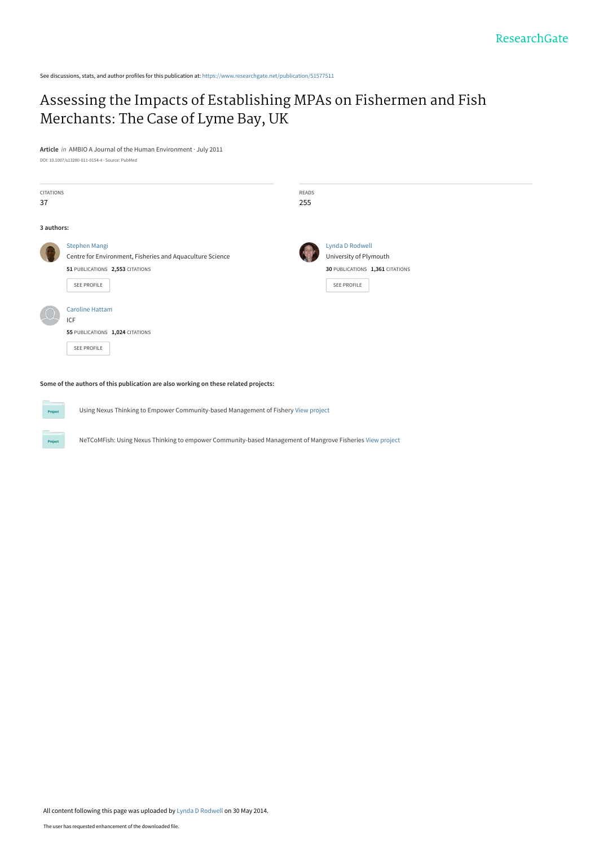See discussions, stats, and author profiles for this publication at: [https://www.researchgate.net/publication/51577511](https://www.researchgate.net/publication/51577511_Assessing_the_Impacts_of_Establishing_MPAs_on_Fishermen_and_Fish_Merchants_The_Case_of_Lyme_Bay_UK?enrichId=rgreq-cf766bb1f63eed0f7679b74044e3344e-XXX&enrichSource=Y292ZXJQYWdlOzUxNTc3NTExO0FTOjEwMjM1MTkxNDQwNTg5NkAxNDAxNDE0MDA2OTMy&el=1_x_2&_esc=publicationCoverPdf)

# [Assessing the Impacts of Establishing MPAs on Fishermen and Fish](https://www.researchgate.net/publication/51577511_Assessing_the_Impacts_of_Establishing_MPAs_on_Fishermen_and_Fish_Merchants_The_Case_of_Lyme_Bay_UK?enrichId=rgreq-cf766bb1f63eed0f7679b74044e3344e-XXX&enrichSource=Y292ZXJQYWdlOzUxNTc3NTExO0FTOjEwMjM1MTkxNDQwNTg5NkAxNDAxNDE0MDA2OTMy&el=1_x_3&_esc=publicationCoverPdf) Merchants: The Case of Lyme Bay, UK

**Article** in AMBIO A Journal of the Human Environment · July 2011

DOI: 10.1007/s13280-011-0154-4 · Source: PubMed

**Some of the authors of this publication are also working on these related projects:**

**Project** 

Using Nexus Thinking to Empower Community-based Management of Fishery [View project](https://www.researchgate.net/project/Using-Nexus-Thinking-to-Empower-Community-based-Management-of-Fishery?enrichId=rgreq-cf766bb1f63eed0f7679b74044e3344e-XXX&enrichSource=Y292ZXJQYWdlOzUxNTc3NTExO0FTOjEwMjM1MTkxNDQwNTg5NkAxNDAxNDE0MDA2OTMy&el=1_x_9&_esc=publicationCoverPdf)

NeTCoMFish: Using Nexus Thinking to empower Community-based Management of Mangrove Fisheries [View project](https://www.researchgate.net/project/NeTCoMFish-Using-Nexus-Thinking-to-empower-Community-based-Management-of-Mangrove-Fisheries?enrichId=rgreq-cf766bb1f63eed0f7679b74044e3344e-XXX&enrichSource=Y292ZXJQYWdlOzUxNTc3NTExO0FTOjEwMjM1MTkxNDQwNTg5NkAxNDAxNDE0MDA2OTMy&el=1_x_9&_esc=publicationCoverPdf)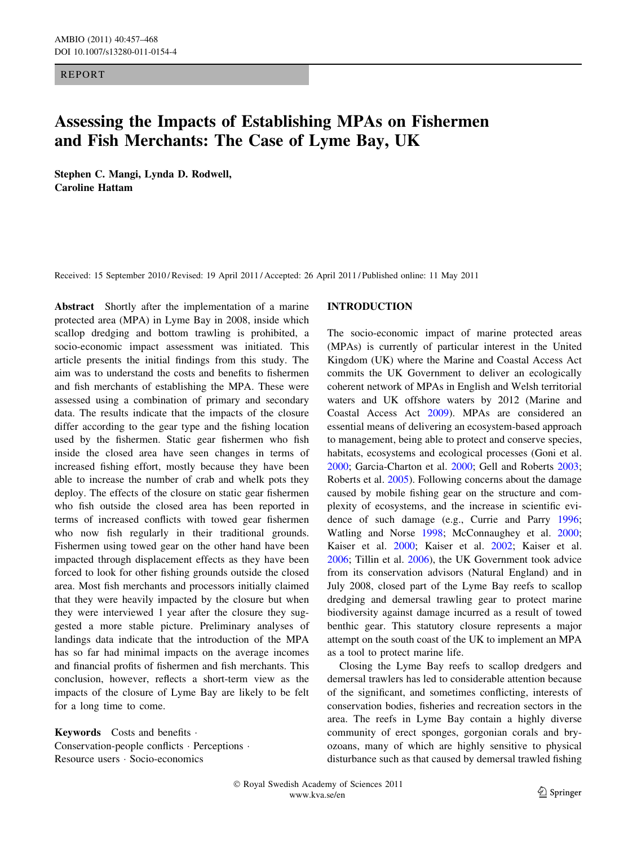REPORT

## Assessing the Impacts of Establishing MPAs on Fishermen and Fish Merchants: The Case of Lyme Bay, UK

Stephen C. Mangi, Lynda D. Rodwell, Caroline Hattam

Received: 15 September 2010 / Revised: 19 April 2011 / Accepted: 26 April 2011 / Published online: 11 May 2011

Abstract Shortly after the implementation of a marine protected area (MPA) in Lyme Bay in 2008, inside which scallop dredging and bottom trawling is prohibited, a socio-economic impact assessment was initiated. This article presents the initial findings from this study. The aim was to understand the costs and benefits to fishermen and fish merchants of establishing the MPA. These were assessed using a combination of primary and secondary data. The results indicate that the impacts of the closure differ according to the gear type and the fishing location used by the fishermen. Static gear fishermen who fish inside the closed area have seen changes in terms of increased fishing effort, mostly because they have been able to increase the number of crab and whelk pots they deploy. The effects of the closure on static gear fishermen who fish outside the closed area has been reported in terms of increased conflicts with towed gear fishermen who now fish regularly in their traditional grounds. Fishermen using towed gear on the other hand have been impacted through displacement effects as they have been forced to look for other fishing grounds outside the closed area. Most fish merchants and processors initially claimed that they were heavily impacted by the closure but when they were interviewed 1 year after the closure they suggested a more stable picture. Preliminary analyses of landings data indicate that the introduction of the MPA has so far had minimal impacts on the average incomes and financial profits of fishermen and fish merchants. This conclusion, however, reflects a short-term view as the impacts of the closure of Lyme Bay are likely to be felt for a long time to come.

Keywords Costs and benefits  $\cdot$ Conservation-people conflicts - Perceptions - Resource users - Socio-economics

## INTRODUCTION

The socio-economic impact of marine protected areas (MPAs) is currently of particular interest in the United Kingdom (UK) where the Marine and Coastal Access Act commits the UK Government to deliver an ecologically coherent network of MPAs in English and Welsh territorial waters and UK offshore waters by 2012 (Marine and Coastal Access Act [2009\)](#page-12-0). MPAs are considered an essential means of delivering an ecosystem-based approach to management, being able to protect and conserve species, habitats, ecosystems and ecological processes (Goni et al. [2000](#page-11-0); Garcia-Charton et al. [2000](#page-11-0); Gell and Roberts [2003](#page-11-0); Roberts et al. [2005](#page-12-0)). Following concerns about the damage caused by mobile fishing gear on the structure and complexity of ecosystems, and the increase in scientific evidence of such damage (e.g., Currie and Parry [1996](#page-11-0); Watling and Norse [1998](#page-12-0); McConnaughey et al. [2000](#page-12-0); Kaiser et al. [2000](#page-12-0); Kaiser et al. [2002](#page-12-0); Kaiser et al. [2006](#page-12-0); Tillin et al. [2006](#page-12-0)), the UK Government took advice from its conservation advisors (Natural England) and in July 2008, closed part of the Lyme Bay reefs to scallop dredging and demersal trawling gear to protect marine biodiversity against damage incurred as a result of towed benthic gear. This statutory closure represents a major attempt on the south coast of the UK to implement an MPA as a tool to protect marine life.

Closing the Lyme Bay reefs to scallop dredgers and demersal trawlers has led to considerable attention because of the significant, and sometimes conflicting, interests of conservation bodies, fisheries and recreation sectors in the area. The reefs in Lyme Bay contain a highly diverse community of erect sponges, gorgonian corals and bryozoans, many of which are highly sensitive to physical disturbance such as that caused by demersal trawled fishing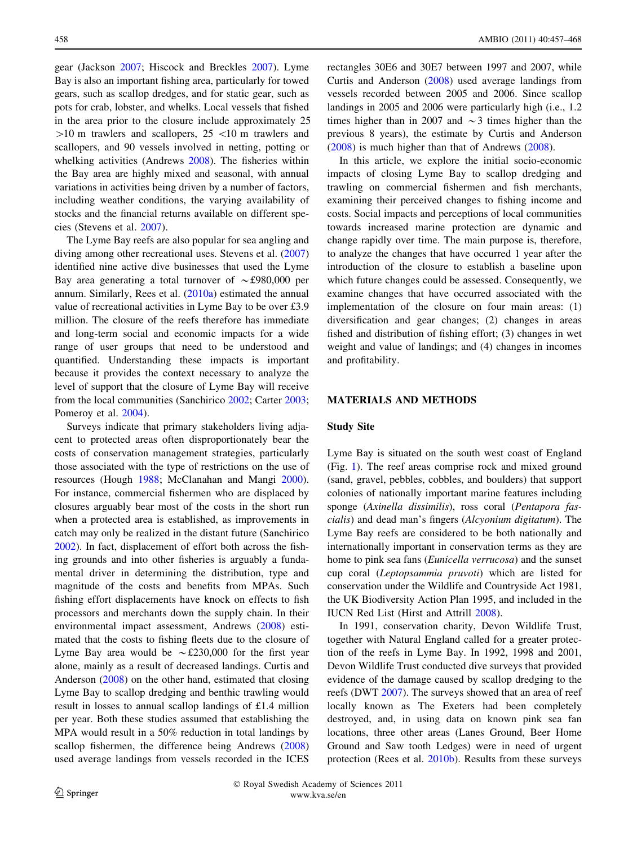gear (Jackson [2007](#page-12-0); Hiscock and Breckles [2007](#page-12-0)). Lyme Bay is also an important fishing area, particularly for towed gears, such as scallop dredges, and for static gear, such as pots for crab, lobster, and whelks. Local vessels that fished in the area prior to the closure include approximately 25  $>10$  m trawlers and scallopers,  $25$  <10 m trawlers and scallopers, and 90 vessels involved in netting, potting or whelking activities (Andrews [2008](#page-11-0)). The fisheries within the Bay area are highly mixed and seasonal, with annual variations in activities being driven by a number of factors, including weather conditions, the varying availability of stocks and the financial returns available on different species (Stevens et al. [2007](#page-12-0)).

The Lyme Bay reefs are also popular for sea angling and diving among other recreational uses. Stevens et al. ([2007\)](#page-12-0) identified nine active dive businesses that used the Lyme Bay area generating a total turnover of  $\sim$ £980,000 per annum. Similarly, Rees et al. [\(2010a\)](#page-12-0) estimated the annual value of recreational activities in Lyme Bay to be over £3.9 million. The closure of the reefs therefore has immediate and long-term social and economic impacts for a wide range of user groups that need to be understood and quantified. Understanding these impacts is important because it provides the context necessary to analyze the level of support that the closure of Lyme Bay will receive from the local communities (Sanchirico [2002](#page-12-0); Carter [2003](#page-11-0); Pomeroy et al. [2004](#page-12-0)).

Surveys indicate that primary stakeholders living adjacent to protected areas often disproportionately bear the costs of conservation management strategies, particularly those associated with the type of restrictions on the use of resources (Hough [1988](#page-12-0); McClanahan and Mangi [2000](#page-12-0)). For instance, commercial fishermen who are displaced by closures arguably bear most of the costs in the short run when a protected area is established, as improvements in catch may only be realized in the distant future (Sanchirico [2002\)](#page-12-0). In fact, displacement of effort both across the fishing grounds and into other fisheries is arguably a fundamental driver in determining the distribution, type and magnitude of the costs and benefits from MPAs. Such fishing effort displacements have knock on effects to fish processors and merchants down the supply chain. In their environmental impact assessment, Andrews [\(2008](#page-11-0)) estimated that the costs to fishing fleets due to the closure of Lyme Bay area would be  $\sim \pounds 230,000$  for the first year alone, mainly as a result of decreased landings. Curtis and Anderson [\(2008](#page-11-0)) on the other hand, estimated that closing Lyme Bay to scallop dredging and benthic trawling would result in losses to annual scallop landings of £1.4 million per year. Both these studies assumed that establishing the MPA would result in a 50% reduction in total landings by scallop fishermen, the difference being Andrews ([2008\)](#page-11-0) used average landings from vessels recorded in the ICES

rectangles 30E6 and 30E7 between 1997 and 2007, while Curtis and Anderson [\(2008](#page-11-0)) used average landings from vessels recorded between 2005 and 2006. Since scallop landings in 2005 and 2006 were particularly high (i.e., 1.2 times higher than in 2007 and  $\sim$ 3 times higher than the previous 8 years), the estimate by Curtis and Anderson [\(2008](#page-11-0)) is much higher than that of Andrews ([2008\)](#page-11-0).

In this article, we explore the initial socio-economic impacts of closing Lyme Bay to scallop dredging and trawling on commercial fishermen and fish merchants, examining their perceived changes to fishing income and costs. Social impacts and perceptions of local communities towards increased marine protection are dynamic and change rapidly over time. The main purpose is, therefore, to analyze the changes that have occurred 1 year after the introduction of the closure to establish a baseline upon which future changes could be assessed. Consequently, we examine changes that have occurred associated with the implementation of the closure on four main areas: (1) diversification and gear changes; (2) changes in areas fished and distribution of fishing effort; (3) changes in wet weight and value of landings; and (4) changes in incomes and profitability.

## MATERIALS AND METHODS

#### Study Site

Lyme Bay is situated on the south west coast of England (Fig. [1\)](#page-3-0). The reef areas comprise rock and mixed ground (sand, gravel, pebbles, cobbles, and boulders) that support colonies of nationally important marine features including sponge (Axinella dissimilis), ross coral (Pentapora fascialis) and dead man's fingers (Alcyonium digitatum). The Lyme Bay reefs are considered to be both nationally and internationally important in conservation terms as they are home to pink sea fans (Eunicella verrucosa) and the sunset cup coral (Leptopsammia pruvoti) which are listed for conservation under the Wildlife and Countryside Act 1981, the UK Biodiversity Action Plan 1995, and included in the IUCN Red List (Hirst and Attrill [2008](#page-11-0)).

In 1991, conservation charity, Devon Wildlife Trust, together with Natural England called for a greater protection of the reefs in Lyme Bay. In 1992, 1998 and 2001, Devon Wildlife Trust conducted dive surveys that provided evidence of the damage caused by scallop dredging to the reefs (DWT [2007\)](#page-11-0). The surveys showed that an area of reef locally known as The Exeters had been completely destroyed, and, in using data on known pink sea fan locations, three other areas (Lanes Ground, Beer Home Ground and Saw tooth Ledges) were in need of urgent protection (Rees et al. [2010b](#page-12-0)). Results from these surveys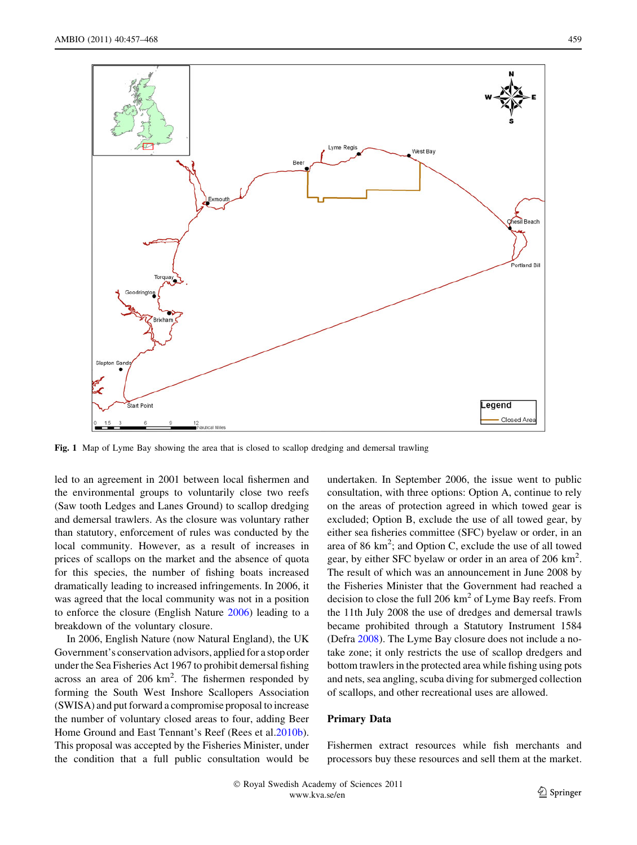<span id="page-3-0"></span>

Fig. 1 Map of Lyme Bay showing the area that is closed to scallop dredging and demersal trawling

led to an agreement in 2001 between local fishermen and the environmental groups to voluntarily close two reefs (Saw tooth Ledges and Lanes Ground) to scallop dredging and demersal trawlers. As the closure was voluntary rather than statutory, enforcement of rules was conducted by the local community. However, as a result of increases in prices of scallops on the market and the absence of quota for this species, the number of fishing boats increased dramatically leading to increased infringements. In 2006, it was agreed that the local community was not in a position to enforce the closure (English Nature [2006](#page-11-0)) leading to a breakdown of the voluntary closure.

In 2006, English Nature (now Natural England), the UK Government's conservation advisors, applied for a stop order under the Sea Fisheries Act 1967 to prohibit demersal fishing across an area of  $206 \text{ km}^2$ . The fishermen responded by forming the South West Inshore Scallopers Association (SWISA) and put forward a compromise proposal to increase the number of voluntary closed areas to four, adding Beer Home Ground and East Tennant's Reef (Rees et al[.2010b](#page-12-0)). This proposal was accepted by the Fisheries Minister, under the condition that a full public consultation would be undertaken. In September 2006, the issue went to public consultation, with three options: Option A, continue to rely on the areas of protection agreed in which towed gear is excluded; Option B, exclude the use of all towed gear, by either sea fisheries committee (SFC) byelaw or order, in an area of 86 km<sup>2</sup>; and Option C, exclude the use of all towed gear, by either SFC byelaw or order in an area of 206 km<sup>2</sup>. The result of which was an announcement in June 2008 by the Fisheries Minister that the Government had reached a decision to close the full 206  $km<sup>2</sup>$  of Lyme Bay reefs. From the 11th July 2008 the use of dredges and demersal trawls became prohibited through a Statutory Instrument 1584 (Defra [2008\)](#page-11-0). The Lyme Bay closure does not include a notake zone; it only restricts the use of scallop dredgers and bottom trawlers in the protected area while fishing using pots and nets, sea angling, scuba diving for submerged collection of scallops, and other recreational uses are allowed.

#### Primary Data

Fishermen extract resources while fish merchants and processors buy these resources and sell them at the market.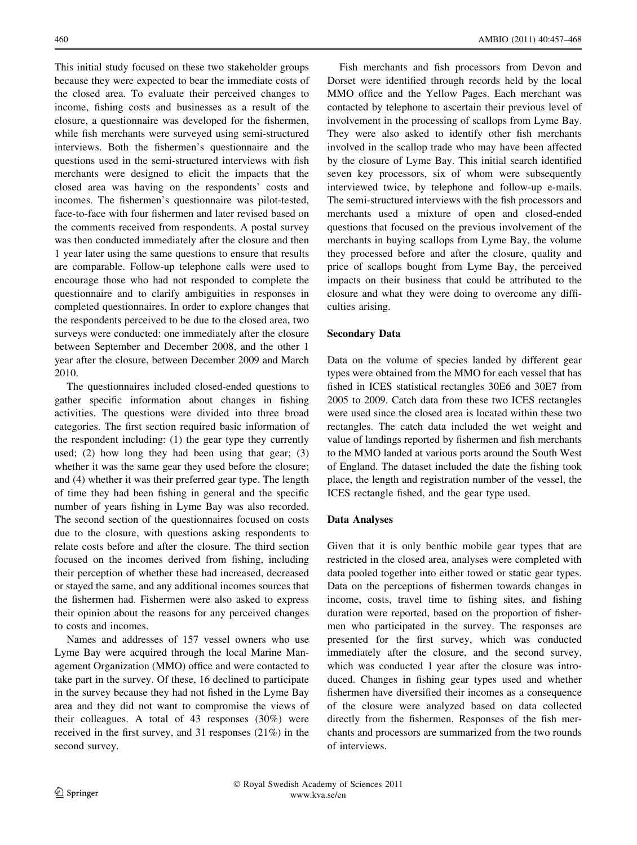This initial study focused on these two stakeholder groups because they were expected to bear the immediate costs of the closed area. To evaluate their perceived changes to income, fishing costs and businesses as a result of the closure, a questionnaire was developed for the fishermen, while fish merchants were surveyed using semi-structured interviews. Both the fishermen's questionnaire and the questions used in the semi-structured interviews with fish merchants were designed to elicit the impacts that the closed area was having on the respondents' costs and incomes. The fishermen's questionnaire was pilot-tested, face-to-face with four fishermen and later revised based on the comments received from respondents. A postal survey was then conducted immediately after the closure and then 1 year later using the same questions to ensure that results are comparable. Follow-up telephone calls were used to encourage those who had not responded to complete the questionnaire and to clarify ambiguities in responses in completed questionnaires. In order to explore changes that the respondents perceived to be due to the closed area, two surveys were conducted: one immediately after the closure between September and December 2008, and the other 1 year after the closure, between December 2009 and March 2010.

The questionnaires included closed-ended questions to gather specific information about changes in fishing activities. The questions were divided into three broad categories. The first section required basic information of the respondent including: (1) the gear type they currently used; (2) how long they had been using that gear; (3) whether it was the same gear they used before the closure; and (4) whether it was their preferred gear type. The length of time they had been fishing in general and the specific number of years fishing in Lyme Bay was also recorded. The second section of the questionnaires focused on costs due to the closure, with questions asking respondents to relate costs before and after the closure. The third section focused on the incomes derived from fishing, including their perception of whether these had increased, decreased or stayed the same, and any additional incomes sources that the fishermen had. Fishermen were also asked to express their opinion about the reasons for any perceived changes to costs and incomes.

Names and addresses of 157 vessel owners who use Lyme Bay were acquired through the local Marine Management Organization (MMO) office and were contacted to take part in the survey. Of these, 16 declined to participate in the survey because they had not fished in the Lyme Bay area and they did not want to compromise the views of their colleagues. A total of 43 responses (30%) were received in the first survey, and 31 responses (21%) in the second survey.

Fish merchants and fish processors from Devon and Dorset were identified through records held by the local MMO office and the Yellow Pages. Each merchant was contacted by telephone to ascertain their previous level of involvement in the processing of scallops from Lyme Bay. They were also asked to identify other fish merchants involved in the scallop trade who may have been affected by the closure of Lyme Bay. This initial search identified seven key processors, six of whom were subsequently interviewed twice, by telephone and follow-up e-mails. The semi-structured interviews with the fish processors and merchants used a mixture of open and closed-ended questions that focused on the previous involvement of the merchants in buying scallops from Lyme Bay, the volume they processed before and after the closure, quality and price of scallops bought from Lyme Bay, the perceived impacts on their business that could be attributed to the closure and what they were doing to overcome any difficulties arising.

## Secondary Data

Data on the volume of species landed by different gear types were obtained from the MMO for each vessel that has fished in ICES statistical rectangles 30E6 and 30E7 from 2005 to 2009. Catch data from these two ICES rectangles were used since the closed area is located within these two rectangles. The catch data included the wet weight and value of landings reported by fishermen and fish merchants to the MMO landed at various ports around the South West of England. The dataset included the date the fishing took place, the length and registration number of the vessel, the ICES rectangle fished, and the gear type used.

## Data Analyses

Given that it is only benthic mobile gear types that are restricted in the closed area, analyses were completed with data pooled together into either towed or static gear types. Data on the perceptions of fishermen towards changes in income, costs, travel time to fishing sites, and fishing duration were reported, based on the proportion of fishermen who participated in the survey. The responses are presented for the first survey, which was conducted immediately after the closure, and the second survey, which was conducted 1 year after the closure was introduced. Changes in fishing gear types used and whether fishermen have diversified their incomes as a consequence of the closure were analyzed based on data collected directly from the fishermen. Responses of the fish merchants and processors are summarized from the two rounds of interviews.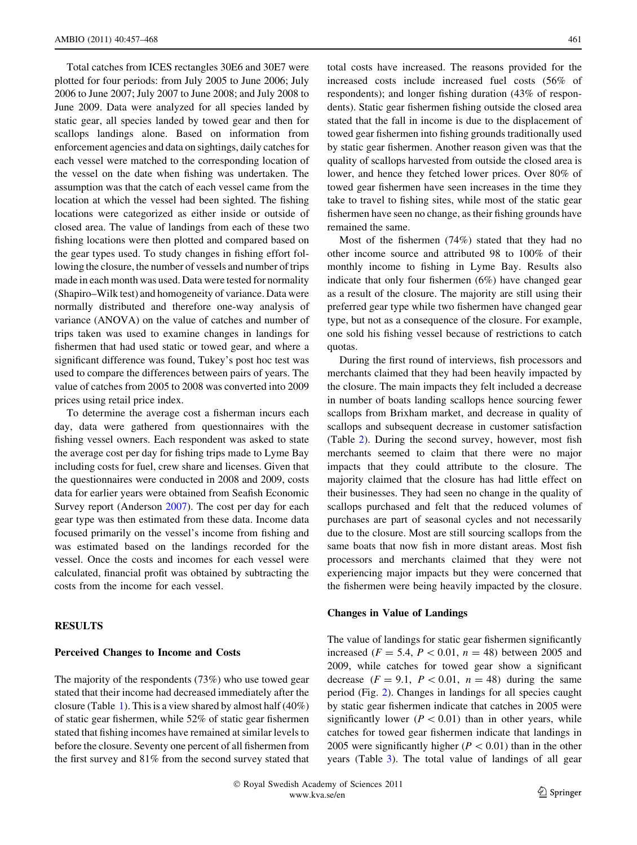Total catches from ICES rectangles 30E6 and 30E7 were plotted for four periods: from July 2005 to June 2006; July 2006 to June 2007; July 2007 to June 2008; and July 2008 to June 2009. Data were analyzed for all species landed by static gear, all species landed by towed gear and then for scallops landings alone. Based on information from enforcement agencies and data on sightings, daily catches for each vessel were matched to the corresponding location of the vessel on the date when fishing was undertaken. The assumption was that the catch of each vessel came from the location at which the vessel had been sighted. The fishing locations were categorized as either inside or outside of closed area. The value of landings from each of these two fishing locations were then plotted and compared based on the gear types used. To study changes in fishing effort following the closure, the number of vessels and number of trips made in each month was used. Data were tested for normality (Shapiro–Wilk test) and homogeneity of variance. Data were normally distributed and therefore one-way analysis of variance (ANOVA) on the value of catches and number of trips taken was used to examine changes in landings for fishermen that had used static or towed gear, and where a significant difference was found, Tukey's post hoc test was used to compare the differences between pairs of years. The value of catches from 2005 to 2008 was converted into 2009 prices using retail price index.

To determine the average cost a fisherman incurs each day, data were gathered from questionnaires with the fishing vessel owners. Each respondent was asked to state the average cost per day for fishing trips made to Lyme Bay including costs for fuel, crew share and licenses. Given that the questionnaires were conducted in 2008 and 2009, costs data for earlier years were obtained from Seafish Economic Survey report (Anderson [2007\)](#page-11-0). The cost per day for each gear type was then estimated from these data. Income data focused primarily on the vessel's income from fishing and was estimated based on the landings recorded for the vessel. Once the costs and incomes for each vessel were calculated, financial profit was obtained by subtracting the costs from the income for each vessel.

## **RESULTS**

#### Perceived Changes to Income and Costs

The majority of the respondents (73%) who use towed gear stated that their income had decreased immediately after the closure (Table [1](#page-6-0)). This is a view shared by almost half  $(40\%)$ of static gear fishermen, while 52% of static gear fishermen stated that fishing incomes have remained at similar levels to before the closure. Seventy one percent of all fishermen from the first survey and 81% from the second survey stated that total costs have increased. The reasons provided for the increased costs include increased fuel costs (56% of respondents); and longer fishing duration (43% of respondents). Static gear fishermen fishing outside the closed area stated that the fall in income is due to the displacement of towed gear fishermen into fishing grounds traditionally used by static gear fishermen. Another reason given was that the quality of scallops harvested from outside the closed area is lower, and hence they fetched lower prices. Over 80% of towed gear fishermen have seen increases in the time they take to travel to fishing sites, while most of the static gear fishermen have seen no change, as their fishing grounds have remained the same.

Most of the fishermen (74%) stated that they had no other income source and attributed 98 to 100% of their monthly income to fishing in Lyme Bay. Results also indicate that only four fishermen (6%) have changed gear as a result of the closure. The majority are still using their preferred gear type while two fishermen have changed gear type, but not as a consequence of the closure. For example, one sold his fishing vessel because of restrictions to catch quotas.

During the first round of interviews, fish processors and merchants claimed that they had been heavily impacted by the closure. The main impacts they felt included a decrease in number of boats landing scallops hence sourcing fewer scallops from Brixham market, and decrease in quality of scallops and subsequent decrease in customer satisfaction (Table [2\)](#page-6-0). During the second survey, however, most fish merchants seemed to claim that there were no major impacts that they could attribute to the closure. The majority claimed that the closure has had little effect on their businesses. They had seen no change in the quality of scallops purchased and felt that the reduced volumes of purchases are part of seasonal cycles and not necessarily due to the closure. Most are still sourcing scallops from the same boats that now fish in more distant areas. Most fish processors and merchants claimed that they were not experiencing major impacts but they were concerned that the fishermen were being heavily impacted by the closure.

#### Changes in Value of Landings

The value of landings for static gear fishermen significantly increased ( $F = 5.4$ ,  $P < 0.01$ ,  $n = 48$ ) between 2005 and 2009, while catches for towed gear show a significant decrease  $(F = 9.1, P < 0.01, n = 48)$  during the same period (Fig. [2](#page-7-0)). Changes in landings for all species caught by static gear fishermen indicate that catches in 2005 were significantly lower ( $P < 0.01$ ) than in other years, while catches for towed gear fishermen indicate that landings in 2005 were significantly higher ( $P < 0.01$ ) than in the other years (Table [3\)](#page-7-0). The total value of landings of all gear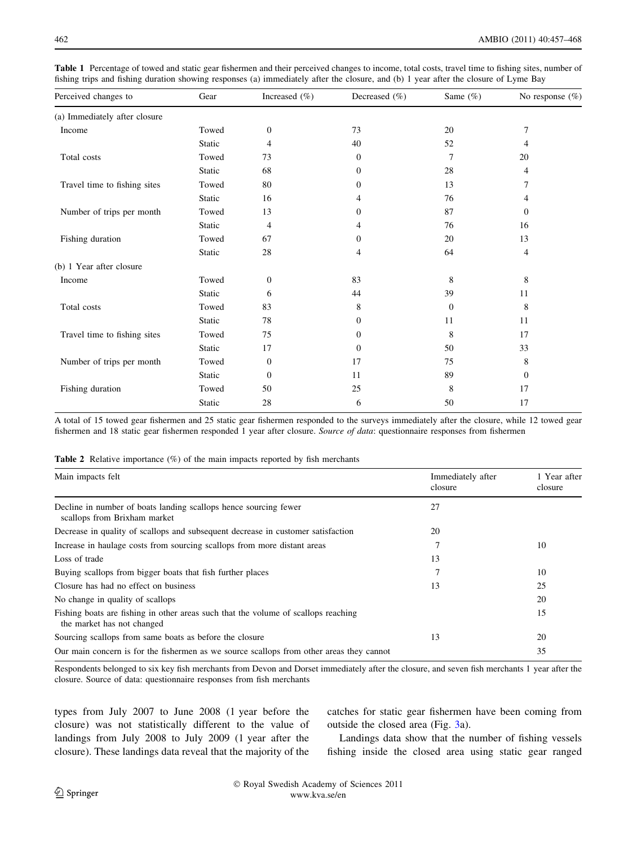| Perceived changes to          | Gear   | Increased $(\% )$ | Decreased $(\% )$ | Same $(\%)$      | No response (%) |
|-------------------------------|--------|-------------------|-------------------|------------------|-----------------|
| (a) Immediately after closure |        |                   |                   |                  |                 |
| Income                        | Towed  | $\mathbf{0}$      | 73                | 20               | 7               |
|                               | Static | 4                 | 40                | 52               | 4               |
| Total costs                   | Towed  | 73                | $\mathbf{0}$      | 7                | 20              |
|                               | Static | 68                | $\mathbf{0}$      | 28               | $\overline{4}$  |
| Travel time to fishing sites  | Towed  | 80                | $\mathbf{0}$      | 13               | 7               |
|                               | Static | 16                | 4                 | 76               | 4               |
| Number of trips per month     | Towed  | 13                | $\mathbf{0}$      | 87               | $\overline{0}$  |
|                               | Static | $\overline{4}$    | 4                 | 76               | 16              |
| Fishing duration              | Towed  | 67                | $\Omega$          | 20               | 13              |
|                               | Static | 28                | 4                 | 64               | $\overline{4}$  |
| (b) 1 Year after closure      |        |                   |                   |                  |                 |
| Income                        | Towed  | $\theta$          | 83                | 8                | 8               |
|                               | Static | 6                 | 44                | 39               | 11              |
| Total costs                   | Towed  | 83                | 8                 | $\boldsymbol{0}$ | 8               |
|                               | Static | 78                | $\mathbf{0}$      | 11               | 11              |
| Travel time to fishing sites  | Towed  | 75                | $\Omega$          | 8                | 17              |
|                               | Static | 17                | $\mathbf{0}$      | 50               | 33              |
| Number of trips per month     | Towed  | $\mathbf{0}$      | 17                | 75               | 8               |
|                               | Static | $\theta$          | 11                | 89               | $\overline{0}$  |
| Fishing duration              | Towed  | 50                | 25                | 8                | 17              |
|                               | Static | 28                | 6                 | 50               | 17              |
|                               |        |                   |                   |                  |                 |

<span id="page-6-0"></span>Table 1 Percentage of towed and static gear fishermen and their perceived changes to income, total costs, travel time to fishing sites, number of fishing trips and fishing duration showing responses (a) immediately after the closure, and (b) 1 year after the closure of Lyme Bay

A total of 15 towed gear fishermen and 25 static gear fishermen responded to the surveys immediately after the closure, while 12 towed gear fishermen and 18 static gear fishermen responded 1 year after closure. Source of data: questionnaire responses from fishermen

Table 2 Relative importance (%) of the main impacts reported by fish merchants

| Main impacts felt                                                                                                | Immediately after<br>closure | 1 Year after<br>closure |
|------------------------------------------------------------------------------------------------------------------|------------------------------|-------------------------|
| Decline in number of boats landing scallops hence sourcing fewer<br>scallops from Brixham market                 | 27                           |                         |
| Decrease in quality of scallops and subsequent decrease in customer satisfaction                                 | 20                           |                         |
| Increase in haulage costs from sourcing scallops from more distant areas                                         | 7                            | 10                      |
| Loss of trade                                                                                                    | 13                           |                         |
| Buying scallops from bigger boats that fish further places                                                       | 7                            | 10                      |
| Closure has had no effect on business                                                                            | 13                           | 25                      |
| No change in quality of scallops                                                                                 |                              | 20                      |
| Fishing boats are fishing in other areas such that the volume of scallops reaching<br>the market has not changed |                              | 15                      |
| Sourcing scallops from same boats as before the closure                                                          | 13                           | 20                      |
| Our main concern is for the fishermen as we source scallops from other areas they cannot                         |                              | 35                      |

Respondents belonged to six key fish merchants from Devon and Dorset immediately after the closure, and seven fish merchants 1 year after the closure. Source of data: questionnaire responses from fish merchants

types from July 2007 to June 2008 (1 year before the closure) was not statistically different to the value of landings from July 2008 to July 2009 (1 year after the closure). These landings data reveal that the majority of the catches for static gear fishermen have been coming from outside the closed area (Fig. [3](#page-7-0)a).

Landings data show that the number of fishing vessels fishing inside the closed area using static gear ranged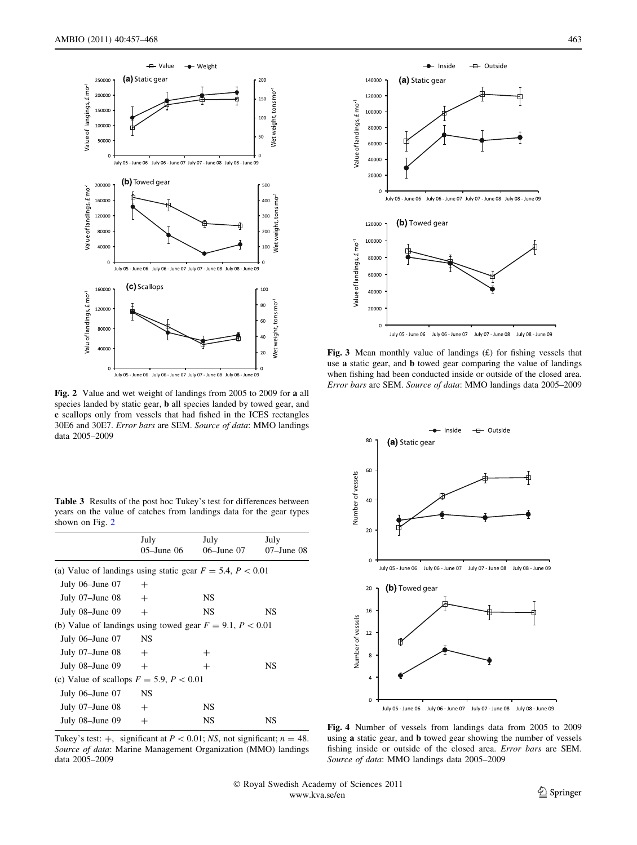<span id="page-7-0"></span>

Fig. 2 Value and wet weight of landings from 2005 to 2009 for a all species landed by static gear, b all species landed by towed gear, and c scallops only from vessels that had fished in the ICES rectangles 30E6 and 30E7. Error bars are SEM. Source of data: MMO landings data 2005–2009

Table 3 Results of the post hoc Tukey's test for differences between years on the value of catches from landings data for the gear types shown on Fig. 2

|                                                                | July<br>05–June 06 | July<br>06–June 07 | July<br>$07 -$ June 08 |
|----------------------------------------------------------------|--------------------|--------------------|------------------------|
| (a) Value of landings using static gear $F = 5.4$ , $P < 0.01$ |                    |                    |                        |
| July $06$ –June $07$                                           | $^{+}$             |                    |                        |
| July $07$ –June 08                                             | $+$                | NS                 |                        |
| July 08-June 09 $+$                                            |                    | NS                 | NS                     |
| (b) Value of landings using towed gear $F = 9.1$ , $P < 0.01$  |                    |                    |                        |
| July $06$ –June $07$                                           | <b>NS</b>          |                    |                        |
| July $07$ –June $08$                                           | $+$                | $^{+}$             |                        |
| July $08$ –June $09$                                           | $+$                | $^{+}$             | NS                     |
| (c) Value of scallops $F = 5.9$ , $P < 0.01$                   |                    |                    |                        |
| July $06$ –June $07$                                           | NS                 |                    |                        |
| July $07$ –June 08                                             | $^{+}$             | NS                 |                        |
| July 08-June 09                                                | $^{+}$             | NS                 | NS                     |

Tukey's test:  $+$ , significant at  $P < 0.01$ ; NS, not significant;  $n = 48$ . Source of data: Marine Management Organization (MMO) landings data 2005–2009



Fig. 3 Mean monthly value of landings  $(E)$  for fishing vessels that use a static gear, and b towed gear comparing the value of landings when fishing had been conducted inside or outside of the closed area. Error bars are SEM. Source of data: MMO landings data 2005–2009



Fig. 4 Number of vessels from landings data from 2005 to 2009 using a static gear, and b towed gear showing the number of vessels fishing inside or outside of the closed area. Error bars are SEM. Source of data: MMO landings data 2005–2009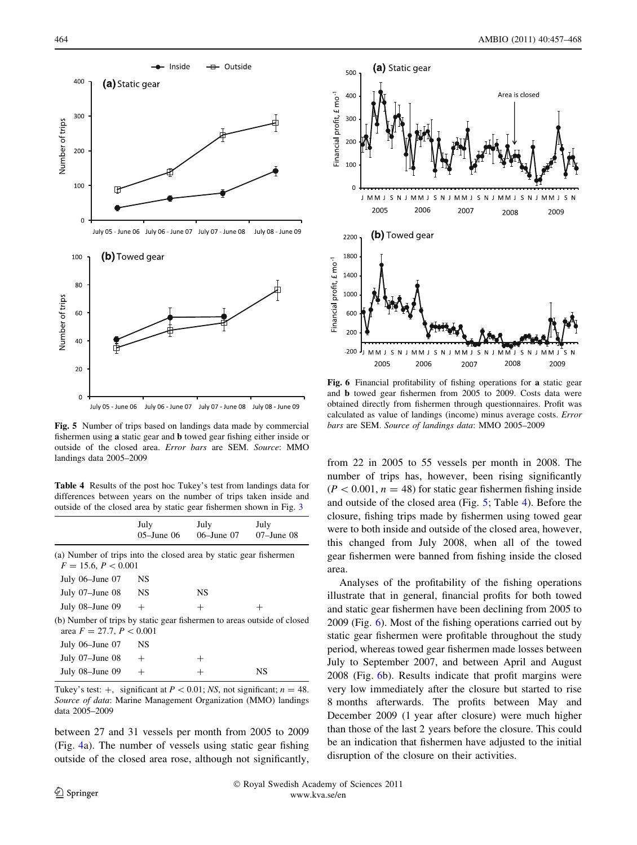



Fig. 5 Number of trips based on landings data made by commercial fishermen using a static gear and b towed gear fishing either inside or outside of the closed area. Error bars are SEM. Source: MMO landings data 2005–2009

Table 4 Results of the post hoc Tukey's test from landings data for differences between years on the number of trips taken inside and outside of the closed area by static gear fishermen shown in Fig. [3](#page-7-0)

|                                                                                                          | July<br>$05 -$ June 06 | July<br>$06$ –June $07$ | July<br>$07 -$ June 08 |
|----------------------------------------------------------------------------------------------------------|------------------------|-------------------------|------------------------|
| (a) Number of trips into the closed area by static gear fishermen<br>$F = 15.6, P < 0.001$               |                        |                         |                        |
| July $06$ –June $07$                                                                                     | NS                     |                         |                        |
| July $07$ –June 08                                                                                       | NS                     | NS                      |                        |
| July $08$ –June $09$                                                                                     | $^{+}$                 | $^{+}$                  |                        |
| (b) Number of trips by static gear fishermen to areas outside of closed<br>area $F = 27.7$ , $P < 0.001$ |                        |                         |                        |
| July $06$ –June $07$                                                                                     | NS                     |                         |                        |
| July 07–June 08                                                                                          | $^{+}$                 |                         |                        |
| July 08–June 09                                                                                          | $\pm$                  |                         | NS                     |
|                                                                                                          |                        |                         |                        |

Tukey's test:  $+$ , significant at  $P < 0.01$ ; NS, not significant;  $n = 48$ . Source of data: Marine Management Organization (MMO) landings data 2005–2009

between 27 and 31 vessels per month from 2005 to 2009 (Fig. [4](#page-7-0)a). The number of vessels using static gear fishing outside of the closed area rose, although not significantly,



Fig. 6 Financial profitability of fishing operations for a static gear and b towed gear fishermen from 2005 to 2009. Costs data were obtained directly from fishermen through questionnaires. Profit was calculated as value of landings (income) minus average costs. Error bars are SEM. Source of landings data: MMO 2005–2009

from 22 in 2005 to 55 vessels per month in 2008. The number of trips has, however, been rising significantly  $(P < 0.001, n = 48)$  for static gear fishermen fishing inside and outside of the closed area (Fig. 5; Table 4). Before the closure, fishing trips made by fishermen using towed gear were to both inside and outside of the closed area, however, this changed from July 2008, when all of the towed gear fishermen were banned from fishing inside the closed area.

Analyses of the profitability of the fishing operations illustrate that in general, financial profits for both towed and static gear fishermen have been declining from 2005 to 2009 (Fig. 6). Most of the fishing operations carried out by static gear fishermen were profitable throughout the study period, whereas towed gear fishermen made losses between July to September 2007, and between April and August 2008 (Fig. 6b). Results indicate that profit margins were very low immediately after the closure but started to rise 8 months afterwards. The profits between May and December 2009 (1 year after closure) were much higher than those of the last 2 years before the closure. This could be an indication that fishermen have adjusted to the initial disruption of the closure on their activities.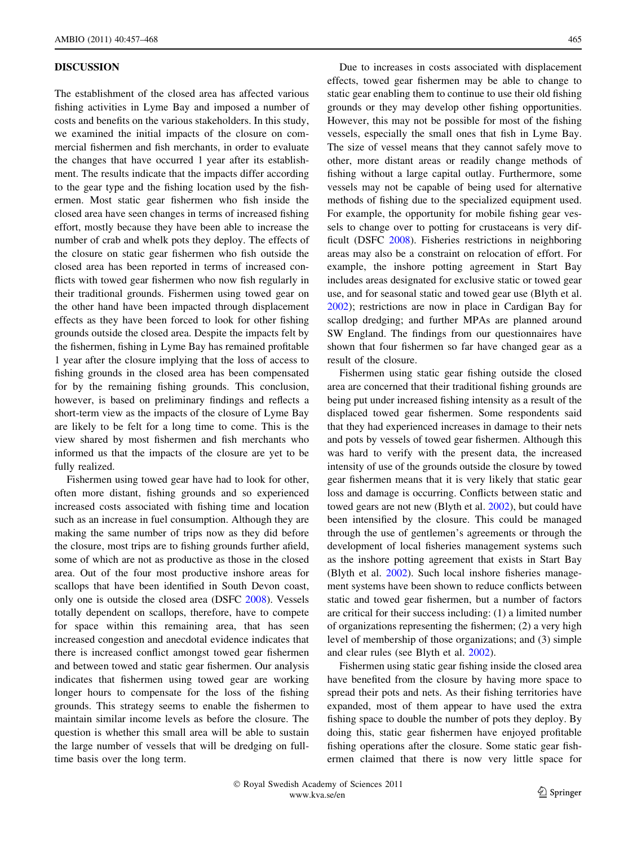#### **DISCUSSION**

The establishment of the closed area has affected various fishing activities in Lyme Bay and imposed a number of costs and benefits on the various stakeholders. In this study, we examined the initial impacts of the closure on commercial fishermen and fish merchants, in order to evaluate the changes that have occurred 1 year after its establishment. The results indicate that the impacts differ according to the gear type and the fishing location used by the fishermen. Most static gear fishermen who fish inside the closed area have seen changes in terms of increased fishing effort, mostly because they have been able to increase the number of crab and whelk pots they deploy. The effects of the closure on static gear fishermen who fish outside the closed area has been reported in terms of increased conflicts with towed gear fishermen who now fish regularly in their traditional grounds. Fishermen using towed gear on the other hand have been impacted through displacement effects as they have been forced to look for other fishing grounds outside the closed area. Despite the impacts felt by the fishermen, fishing in Lyme Bay has remained profitable 1 year after the closure implying that the loss of access to fishing grounds in the closed area has been compensated for by the remaining fishing grounds. This conclusion, however, is based on preliminary findings and reflects a short-term view as the impacts of the closure of Lyme Bay are likely to be felt for a long time to come. This is the view shared by most fishermen and fish merchants who informed us that the impacts of the closure are yet to be fully realized.

Fishermen using towed gear have had to look for other, often more distant, fishing grounds and so experienced increased costs associated with fishing time and location such as an increase in fuel consumption. Although they are making the same number of trips now as they did before the closure, most trips are to fishing grounds further afield, some of which are not as productive as those in the closed area. Out of the four most productive inshore areas for scallops that have been identified in South Devon coast, only one is outside the closed area (DSFC [2008](#page-11-0)). Vessels totally dependent on scallops, therefore, have to compete for space within this remaining area, that has seen increased congestion and anecdotal evidence indicates that there is increased conflict amongst towed gear fishermen and between towed and static gear fishermen. Our analysis indicates that fishermen using towed gear are working longer hours to compensate for the loss of the fishing grounds. This strategy seems to enable the fishermen to maintain similar income levels as before the closure. The question is whether this small area will be able to sustain the large number of vessels that will be dredging on fulltime basis over the long term.

Due to increases in costs associated with displacement effects, towed gear fishermen may be able to change to static gear enabling them to continue to use their old fishing grounds or they may develop other fishing opportunities. However, this may not be possible for most of the fishing vessels, especially the small ones that fish in Lyme Bay. The size of vessel means that they cannot safely move to other, more distant areas or readily change methods of fishing without a large capital outlay. Furthermore, some vessels may not be capable of being used for alternative methods of fishing due to the specialized equipment used. For example, the opportunity for mobile fishing gear vessels to change over to potting for crustaceans is very difficult (DSFC [2008\)](#page-11-0). Fisheries restrictions in neighboring areas may also be a constraint on relocation of effort. For example, the inshore potting agreement in Start Bay includes areas designated for exclusive static or towed gear use, and for seasonal static and towed gear use (Blyth et al. [2002](#page-11-0)); restrictions are now in place in Cardigan Bay for scallop dredging; and further MPAs are planned around SW England. The findings from our questionnaires have shown that four fishermen so far have changed gear as a result of the closure.

Fishermen using static gear fishing outside the closed area are concerned that their traditional fishing grounds are being put under increased fishing intensity as a result of the displaced towed gear fishermen. Some respondents said that they had experienced increases in damage to their nets and pots by vessels of towed gear fishermen. Although this was hard to verify with the present data, the increased intensity of use of the grounds outside the closure by towed gear fishermen means that it is very likely that static gear loss and damage is occurring. Conflicts between static and towed gears are not new (Blyth et al. [2002\)](#page-11-0), but could have been intensified by the closure. This could be managed through the use of gentlemen's agreements or through the development of local fisheries management systems such as the inshore potting agreement that exists in Start Bay (Blyth et al. [2002](#page-11-0)). Such local inshore fisheries management systems have been shown to reduce conflicts between static and towed gear fishermen, but a number of factors are critical for their success including: (1) a limited number of organizations representing the fishermen; (2) a very high level of membership of those organizations; and (3) simple and clear rules (see Blyth et al. [2002](#page-11-0)).

Fishermen using static gear fishing inside the closed area have benefited from the closure by having more space to spread their pots and nets. As their fishing territories have expanded, most of them appear to have used the extra fishing space to double the number of pots they deploy. By doing this, static gear fishermen have enjoyed profitable fishing operations after the closure. Some static gear fishermen claimed that there is now very little space for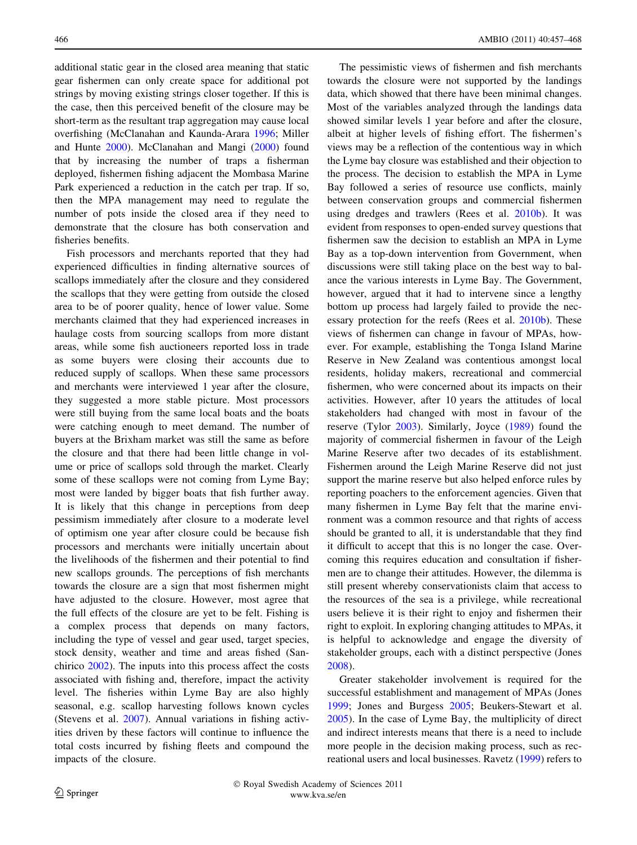additional static gear in the closed area meaning that static gear fishermen can only create space for additional pot strings by moving existing strings closer together. If this is the case, then this perceived benefit of the closure may be short-term as the resultant trap aggregation may cause local overfishing (McClanahan and Kaunda-Arara [1996](#page-12-0); Miller and Hunte [2000\)](#page-12-0). McClanahan and Mangi ([2000\)](#page-12-0) found that by increasing the number of traps a fisherman deployed, fishermen fishing adjacent the Mombasa Marine Park experienced a reduction in the catch per trap. If so, then the MPA management may need to regulate the number of pots inside the closed area if they need to demonstrate that the closure has both conservation and fisheries benefits.

Fish processors and merchants reported that they had experienced difficulties in finding alternative sources of scallops immediately after the closure and they considered the scallops that they were getting from outside the closed area to be of poorer quality, hence of lower value. Some merchants claimed that they had experienced increases in haulage costs from sourcing scallops from more distant areas, while some fish auctioneers reported loss in trade as some buyers were closing their accounts due to reduced supply of scallops. When these same processors and merchants were interviewed 1 year after the closure, they suggested a more stable picture. Most processors were still buying from the same local boats and the boats were catching enough to meet demand. The number of buyers at the Brixham market was still the same as before the closure and that there had been little change in volume or price of scallops sold through the market. Clearly some of these scallops were not coming from Lyme Bay; most were landed by bigger boats that fish further away. It is likely that this change in perceptions from deep pessimism immediately after closure to a moderate level of optimism one year after closure could be because fish processors and merchants were initially uncertain about the livelihoods of the fishermen and their potential to find new scallops grounds. The perceptions of fish merchants towards the closure are a sign that most fishermen might have adjusted to the closure. However, most agree that the full effects of the closure are yet to be felt. Fishing is a complex process that depends on many factors, including the type of vessel and gear used, target species, stock density, weather and time and areas fished (Sanchirico [2002](#page-12-0)). The inputs into this process affect the costs associated with fishing and, therefore, impact the activity level. The fisheries within Lyme Bay are also highly seasonal, e.g. scallop harvesting follows known cycles (Stevens et al. [2007](#page-12-0)). Annual variations in fishing activities driven by these factors will continue to influence the total costs incurred by fishing fleets and compound the impacts of the closure.

The pessimistic views of fishermen and fish merchants towards the closure were not supported by the landings data, which showed that there have been minimal changes. Most of the variables analyzed through the landings data showed similar levels 1 year before and after the closure, albeit at higher levels of fishing effort. The fishermen's views may be a reflection of the contentious way in which the Lyme bay closure was established and their objection to the process. The decision to establish the MPA in Lyme Bay followed a series of resource use conflicts, mainly between conservation groups and commercial fishermen using dredges and trawlers (Rees et al. [2010b](#page-12-0)). It was evident from responses to open-ended survey questions that fishermen saw the decision to establish an MPA in Lyme Bay as a top-down intervention from Government, when discussions were still taking place on the best way to balance the various interests in Lyme Bay. The Government, however, argued that it had to intervene since a lengthy bottom up process had largely failed to provide the necessary protection for the reefs (Rees et al. [2010b\)](#page-12-0). These views of fishermen can change in favour of MPAs, however. For example, establishing the Tonga Island Marine Reserve in New Zealand was contentious amongst local residents, holiday makers, recreational and commercial fishermen, who were concerned about its impacts on their activities. However, after 10 years the attitudes of local stakeholders had changed with most in favour of the reserve (Tylor [2003](#page-12-0)). Similarly, Joyce ([1989\)](#page-12-0) found the majority of commercial fishermen in favour of the Leigh Marine Reserve after two decades of its establishment. Fishermen around the Leigh Marine Reserve did not just support the marine reserve but also helped enforce rules by reporting poachers to the enforcement agencies. Given that many fishermen in Lyme Bay felt that the marine environment was a common resource and that rights of access should be granted to all, it is understandable that they find it difficult to accept that this is no longer the case. Overcoming this requires education and consultation if fishermen are to change their attitudes. However, the dilemma is still present whereby conservationists claim that access to the resources of the sea is a privilege, while recreational users believe it is their right to enjoy and fishermen their right to exploit. In exploring changing attitudes to MPAs, it is helpful to acknowledge and engage the diversity of stakeholder groups, each with a distinct perspective (Jones [2008](#page-12-0)).

Greater stakeholder involvement is required for the successful establishment and management of MPAs (Jones [1999](#page-12-0); Jones and Burgess [2005;](#page-12-0) Beukers-Stewart et al. [2005](#page-11-0)). In the case of Lyme Bay, the multiplicity of direct and indirect interests means that there is a need to include more people in the decision making process, such as recreational users and local businesses. Ravetz ([1999\)](#page-12-0) refers to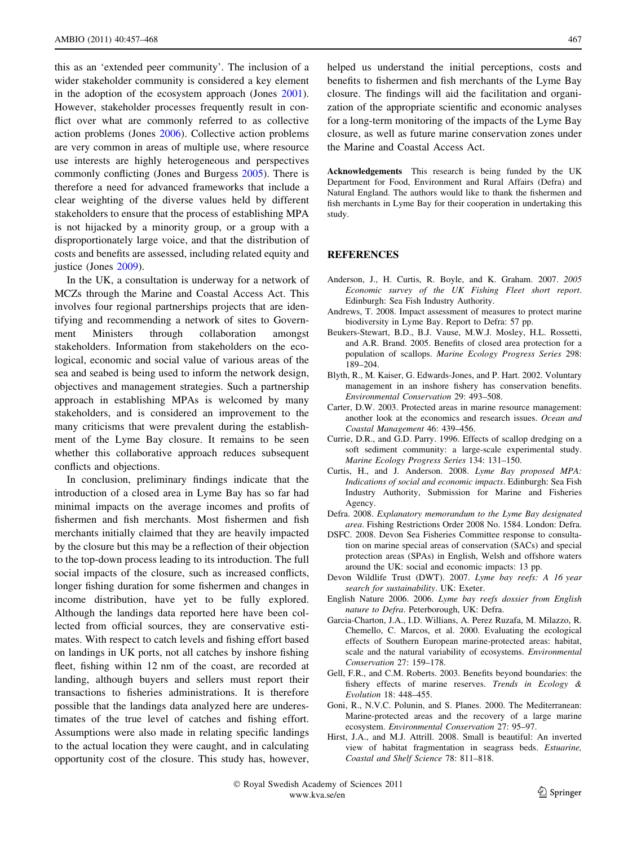<span id="page-11-0"></span>this as an 'extended peer community'. The inclusion of a wider stakeholder community is considered a key element in the adoption of the ecosystem approach (Jones [2001](#page-12-0)). However, stakeholder processes frequently result in conflict over what are commonly referred to as collective action problems (Jones [2006](#page-12-0)). Collective action problems are very common in areas of multiple use, where resource use interests are highly heterogeneous and perspectives commonly conflicting (Jones and Burgess [2005](#page-12-0)). There is therefore a need for advanced frameworks that include a clear weighting of the diverse values held by different stakeholders to ensure that the process of establishing MPA is not hijacked by a minority group, or a group with a disproportionately large voice, and that the distribution of costs and benefits are assessed, including related equity and justice (Jones [2009](#page-12-0)).

In the UK, a consultation is underway for a network of MCZs through the Marine and Coastal Access Act. This involves four regional partnerships projects that are identifying and recommending a network of sites to Government Ministers through collaboration amongst stakeholders. Information from stakeholders on the ecological, economic and social value of various areas of the sea and seabed is being used to inform the network design, objectives and management strategies. Such a partnership approach in establishing MPAs is welcomed by many stakeholders, and is considered an improvement to the many criticisms that were prevalent during the establishment of the Lyme Bay closure. It remains to be seen whether this collaborative approach reduces subsequent conflicts and objections.

In conclusion, preliminary findings indicate that the introduction of a closed area in Lyme Bay has so far had minimal impacts on the average incomes and profits of fishermen and fish merchants. Most fishermen and fish merchants initially claimed that they are heavily impacted by the closure but this may be a reflection of their objection to the top-down process leading to its introduction. The full social impacts of the closure, such as increased conflicts, longer fishing duration for some fishermen and changes in income distribution, have yet to be fully explored. Although the landings data reported here have been collected from official sources, they are conservative estimates. With respect to catch levels and fishing effort based on landings in UK ports, not all catches by inshore fishing fleet, fishing within 12 nm of the coast, are recorded at landing, although buyers and sellers must report their transactions to fisheries administrations. It is therefore possible that the landings data analyzed here are underestimates of the true level of catches and fishing effort. Assumptions were also made in relating specific landings to the actual location they were caught, and in calculating opportunity cost of the closure. This study has, however,

helped us understand the initial perceptions, costs and benefits to fishermen and fish merchants of the Lyme Bay closure. The findings will aid the facilitation and organization of the appropriate scientific and economic analyses for a long-term monitoring of the impacts of the Lyme Bay closure, as well as future marine conservation zones under the Marine and Coastal Access Act.

Acknowledgements This research is being funded by the UK Department for Food, Environment and Rural Affairs (Defra) and Natural England. The authors would like to thank the fishermen and fish merchants in Lyme Bay for their cooperation in undertaking this study.

## REFERENCES

- Anderson, J., H. Curtis, R. Boyle, and K. Graham. 2007. 2005 Economic survey of the UK Fishing Fleet short report. Edinburgh: Sea Fish Industry Authority.
- Andrews, T. 2008. Impact assessment of measures to protect marine biodiversity in Lyme Bay. Report to Defra: 57 pp.
- Beukers-Stewart, B.D., B.J. Vause, M.W.J. Mosley, H.L. Rossetti, and A.R. Brand. 2005. Benefits of closed area protection for a population of scallops. Marine Ecology Progress Series 298: 189–204.
- Blyth, R., M. Kaiser, G. Edwards-Jones, and P. Hart. 2002. Voluntary management in an inshore fishery has conservation benefits. Environmental Conservation 29: 493–508.
- Carter, D.W. 2003. Protected areas in marine resource management: another look at the economics and research issues. Ocean and Coastal Management 46: 439–456.
- Currie, D.R., and G.D. Parry. 1996. Effects of scallop dredging on a soft sediment community: a large-scale experimental study. Marine Ecology Progress Series 134: 131–150.
- Curtis, H., and J. Anderson. 2008. Lyme Bay proposed MPA: Indications of social and economic impacts. Edinburgh: Sea Fish Industry Authority, Submission for Marine and Fisheries Agency.
- Defra. 2008. Explanatory memorandum to the Lyme Bay designated area. Fishing Restrictions Order 2008 No. 1584. London: Defra.
- DSFC. 2008. Devon Sea Fisheries Committee response to consultation on marine special areas of conservation (SACs) and special protection areas (SPAs) in English, Welsh and offshore waters around the UK: social and economic impacts: 13 pp.
- Devon Wildlife Trust (DWT). 2007. Lyme bay reefs: A 16 year search for sustainability. UK: Exeter.
- English Nature 2006. 2006. Lyme bay reefs dossier from English nature to Defra. Peterborough, UK: Defra.
- Garcia-Charton, J.A., I.D. Willians, A. Perez Ruzafa, M. Milazzo, R. Chemello, C. Marcos, et al. 2000. Evaluating the ecological effects of Southern European marine-protected areas: habitat, scale and the natural variability of ecosystems. Environmental Conservation 27: 159–178.
- Gell, F.R., and C.M. Roberts. 2003. Benefits beyond boundaries: the fishery effects of marine reserves. Trends in Ecology & Evolution 18: 448–455.
- Goni, R., N.V.C. Polunin, and S. Planes. 2000. The Mediterranean: Marine-protected areas and the recovery of a large marine ecosystem. Environmental Conservation 27: 95–97.
- Hirst, J.A., and M.J. Attrill. 2008. Small is beautiful: An inverted view of habitat fragmentation in seagrass beds. Estuarine, Coastal and Shelf Science 78: 811–818.